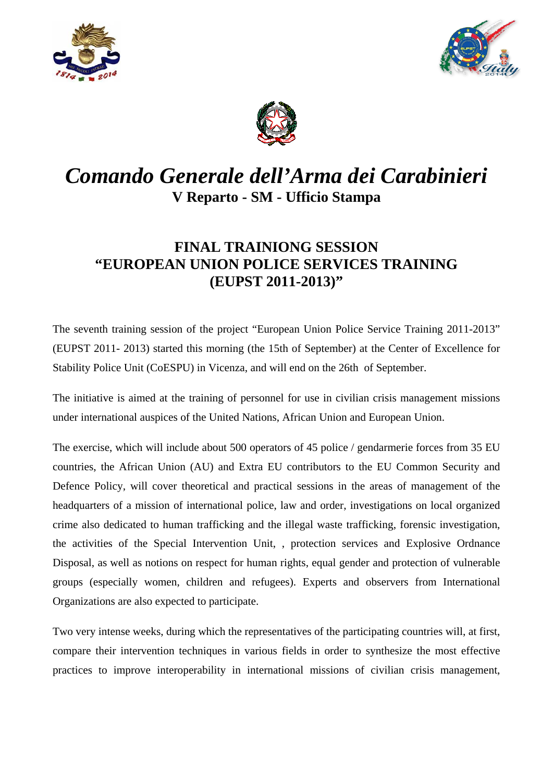





## *Comando Generale dell'Arma dei Carabinieri* **V Reparto - SM - Ufficio Stampa**

## **FINAL TRAINIONG SESSION "EUROPEAN UNION POLICE SERVICES TRAINING (EUPST 2011-2013)"**

The seventh training session of the project "European Union Police Service Training 2011-2013" (EUPST 2011- 2013) started this morning (the 15th of September) at the Center of Excellence for Stability Police Unit (CoESPU) in Vicenza, and will end on the 26th of September.

The initiative is aimed at the training of personnel for use in civilian crisis management missions under international auspices of the United Nations, African Union and European Union.

The exercise, which will include about 500 operators of 45 police / gendarmerie forces from 35 EU countries, the African Union (AU) and Extra EU contributors to the EU Common Security and Defence Policy, will cover theoretical and practical sessions in the areas of management of the headquarters of a mission of international police, law and order, investigations on local organized crime also dedicated to human trafficking and the illegal waste trafficking, forensic investigation, the activities of the Special Intervention Unit, , protection services and Explosive Ordnance Disposal, as well as notions on respect for human rights, equal gender and protection of vulnerable groups (especially women, children and refugees). Experts and observers from International Organizations are also expected to participate.

Two very intense weeks, during which the representatives of the participating countries will, at first, compare their intervention techniques in various fields in order to synthesize the most effective practices to improve interoperability in international missions of civilian crisis management,